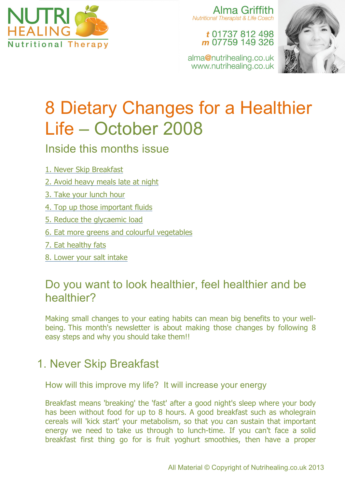

Alma Griffith **Nutritional Therapist & Life Coach** 

#### t 01737 812 498 m 07759 149 326

alma@nutrihealing.co.uk www.nutrihealing.co.uk



# 8 Dietary Changes for a Healthier Life – October 2008

#### Inside this months issue

- 1. Never Skip Breakfast
- 2. Avoid heavy meals late at night
- 3. Take your lunch hour
- 4. Top up those important fluids
- 5. Reduce the glycaemic load
- 6. Eat more greens and colourful vegetables
- 7. Eat healthy fats
- 8. Lower your salt intake

## Do you want to look healthier, feel healthier and be healthier?

Making small changes to your eating habits can mean big benefits to your wellbeing. This month's newsletter is about making those changes by following 8 easy steps and why you should take them!!

## 1. Never Skip Breakfast

How will this improve my life? It will increase your energy

Breakfast means 'breaking' the 'fast' after a good night's sleep where your body has been without food for up to 8 hours. A good breakfast such as wholegrain cereals will 'kick start' your metabolism, so that you can sustain that important energy we need to take us through to lunch-time. If you can't face a solid breakfast first thing go for is fruit yoghurt smoothies, then have a proper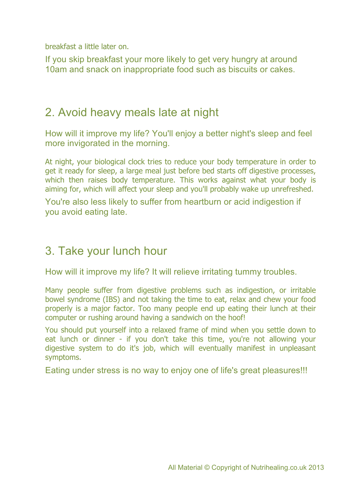breakfast a little later on.

If you skip breakfast your more likely to get very hungry at around 10am and snack on inappropriate food such as biscuits or cakes.

#### 2. Avoid heavy meals late at night

How will it improve my life? You'll enjoy a better night's sleep and feel more invigorated in the morning.

At night, your biological clock tries to reduce your body temperature in order to get it ready for sleep, a large meal just before bed starts off digestive processes, which then raises body temperature. This works against what your body is aiming for, which will affect your sleep and you'll probably wake up unrefreshed.

You're also less likely to suffer from heartburn or acid indigestion if you avoid eating late.

#### 3. Take your lunch hour

How will it improve my life? It will relieve irritating tummy troubles.

Many people suffer from digestive problems such as indigestion, or irritable bowel syndrome (IBS) and not taking the time to eat, relax and chew your food properly is a major factor. Too many people end up eating their lunch at their computer or rushing around having a sandwich on the hoof!

You should put yourself into a relaxed frame of mind when you settle down to eat lunch or dinner - if you don't take this time, you're not allowing your digestive system to do it's job, which will eventually manifest in unpleasant symptoms.

Eating under stress is no way to enjoy one of life's great pleasures!!!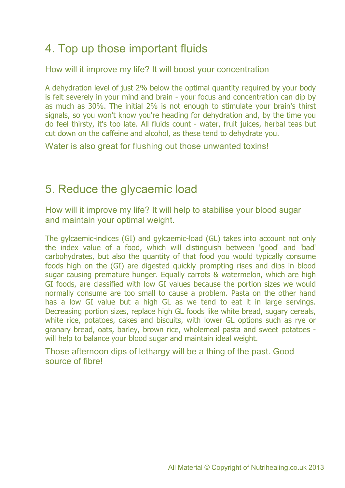## 4. Top up those important fluids

How will it improve my life? It will boost your concentration

A dehydration level of just 2% below the optimal quantity required by your body is felt severely in your mind and brain - your focus and concentration can dip by as much as 30%. The initial 2% is not enough to stimulate your brain's thirst signals, so you won't know you're heading for dehydration and, by the time you do feel thirsty, it's too late. All fluids count - water, fruit juices, herbal teas but cut down on the caffeine and alcohol, as these tend to dehydrate you.

Water is also great for flushing out those unwanted toxins!

### 5. Reduce the glycaemic load

How will it improve my life? It will help to stabilise your blood sugar and maintain your optimal weight.

The gylcaemic-indices (GI) and gylcaemic-load (GL) takes into account not only the index value of a food, which will distinguish between 'good' and 'bad' carbohydrates, but also the quantity of that food you would typically consume foods high on the (GI) are digested quickly prompting rises and dips in blood sugar causing premature hunger. Equally carrots & watermelon, which are high GI foods, are classified with low GI values because the portion sizes we would normally consume are too small to cause a problem. Pasta on the other hand has a low GI value but a high GL as we tend to eat it in large servings. Decreasing portion sizes, replace high GL foods like white bread, sugary cereals, white rice, potatoes, cakes and biscuits, with lower GL options such as rye or granary bread, oats, barley, brown rice, wholemeal pasta and sweet potatoes will help to balance your blood sugar and maintain ideal weight.

Those afternoon dips of lethargy will be a thing of the past. Good source of fibre!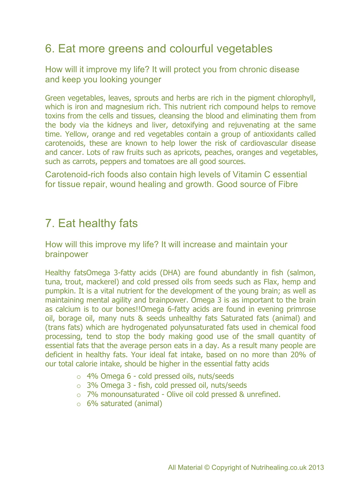## 6. Eat more greens and colourful vegetables

How will it improve my life? It will protect you from chronic disease and keep you looking younger

Green vegetables, leaves, sprouts and herbs are rich in the pigment chlorophyll, which is iron and magnesium rich. This nutrient rich compound helps to remove toxins from the cells and tissues, cleansing the blood and eliminating them from the body via the kidneys and liver, detoxifying and rejuvenating at the same time. Yellow, orange and red vegetables contain a group of antioxidants called carotenoids, these are known to help lower the risk of cardiovascular disease and cancer. Lots of raw fruits such as apricots, peaches, oranges and vegetables, such as carrots, peppers and tomatoes are all good sources.

Carotenoid-rich foods also contain high levels of Vitamin C essential for tissue repair, wound healing and growth. Good source of Fibre

#### 7. Eat healthy fats

How will this improve my life? It will increase and maintain your brainpower

Healthy fatsOmega 3-fatty acids (DHA) are found abundantly in fish (salmon, tuna, trout, mackerel) and cold pressed oils from seeds such as Flax, hemp and pumpkin. It is a vital nutrient for the development of the young brain; as well as maintaining mental agility and brainpower. Omega 3 is as important to the brain as calcium is to our bones!!Omega 6-fatty acids are found in evening primrose oil, borage oil, many nuts & seeds unhealthy fats Saturated fats (animal) and (trans fats) which are hydrogenated polyunsaturated fats used in chemical food processing, tend to stop the body making good use of the small quantity of essential fats that the average person eats in a day. As a result many people are deficient in healthy fats. Your ideal fat intake, based on no more than 20% of our total calorie intake, should be higher in the essential fatty acids

- o 4% Omega 6 cold pressed oils, nuts/seeds
- o 3% Omega 3 fish, cold pressed oil, nuts/seeds
- o 7% monounsaturated Olive oil cold pressed & unrefined.
- $\circ$  6% saturated (animal)